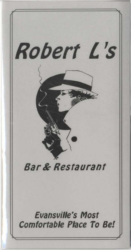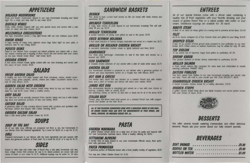# **APPETIZERS**

# **BREADED MUSHROOMS**

Fresh and tender mushrooms dipped in our own homemade breading and "piled" high' for a crispy and tasty start to any meal. \$3.95

## **BUFFALO WINGS**

Fresh, white chicken topped with our own special sauce and served with a side order of celery and blue cheese. \$4,50

# **MOZZARELLA CHEESESTICKS**

Fine tasty cheesesticks served a crisp. light brown with our own marinara sauce. \$3.95

### **ONION RINGS**

A huge serving of crispy beer battered onion rings 'piled high' on your plate. A delicious start to any outing. \$3.50

# **POTATO SKINS**

Made in our kitchen from scooped out baked potatoes and baked with a cheddar cheese covering and a topping of REAL bacon bits and served with sour cream<br>on the side. Whole Order \$4.25 Half Order \$2.95

# **CHICKEN STRIPS**

A thin sliced chicken breast, lightly coated with our own breading and served with the sauce of your choice. \$4.25

# **SALADS**

## **FRESH GARDEN SALAD**

A healthy ten inch (10') plate loaded with fresh tomatoes, onlons, tender mushrooms, crispy green peppers, carrots, cheese and chilled cucumbers served on a bed of crisp lettuce. \$3.95

# **GARDEN SALAD WITH CHICKEN**

You get a charbroiled, fresh chicken breast thinly sliced to top our Fresh Garden Salad for only \$1.95 more. What a healthy choice.

## CHEF SALAD

We take one of our specially prepared Fresh Garden Salads and top It with boiled egg slices and generous portions of harn and turkey. \$4.95

# **CAESAR SALAD**

A generous plate of crisp romaine lettuce tossed with croutons and sprinkled with Parmesan cheese and topped with Caesar dressing. \$3.95

# **CHICKEN CAESAR SALAD**

Add a thin sliced grilled chicken breast for \$1.95.

# **SOUPS**

## SOUP OF THE DAY

All of our daily soup offerings are prepared not from a can, but homemade in our kitchen from the freshest ingredients. Try a bowl for \$2.50 or a cup for \$1.75.

### **CHILI**

Prepared homemade in our kitchen with the best ingredients and jam packed with beans and generous portions of fresh beef. Try a bowl for \$2.50 or a cup for \$1.75.

Robert L's offers tasty side orders daily of french fries, a side salad, homemade cole slaw, fresh cottage cheese, fried potatoes for only \$1.50. Baked potatoes are served with your choice of butter or sour cream for \$1,75. Additional toppings may be added for .30 each.

# **SANDWICH BASKETS**

# **REUBEN**

Thin sliced & tasty corned beef served on lite rye bread with Swiss cheese and sauerkraut \$3.95

## **BREADED TENDERLOIN**

A huge, tasty choice of pork dipped in our homemade breading! This will definitely fill you up. \$4.75

### **GRILLED TENDERLOIN**

A tender selection of plump pork grilled to seal in the juices. \$4.75

### **FRIED GERMAN BOLOGNA** A thick sliced selection of German bologna charbroiled and served on a toasted bun. \$3,75

**GRILLED OR BREADED CHICKEN BREAST** A succulent charbroiled chicken breast or lightly battered and fried. \$4.50

### HAMBURGER

Our thick, julicy hamburger charbroiled to seal in the taste and served on a toasted bun. \$3.95

# **FISH SANDWICH**

A breaded choice selection of cod served with a side of zesty tartar sauce. \$3.75

### **CHICKEN SALAD**

Our homemade sandwich is prepared in our kitchen with a generous portion of chicken and splcy ingredients served on a Hoagle bun with lettuce. \$3.95

## **HOT HAM & CHEESE**

This tender ham, sliced thin and stacked on a toasted French bun with melted Swiss and a slice of tomato and lettuce will warm your insides. \$4.50

# **JUMBO HOT DOG**

This All-American favorite is chargrilled and served on a bun with your choice of ketchup, mustard, relish or onions. \$2.95 Add sauerkraut, cheese, or chill for 25 each item or simply ask for all of the above. \$3.50

## **ITALIAN BEEF**

Tender, julcy, thin-sliced roast beef served on a toasted French bun with pepperoncinis and pickles on the side. \$5.25

ALL OF OUR DELICIOUS SANDWICHES COME WITH A GENEROUS ORDER OF OUR GOLD-EN BROWN FRENCH FRIES AND WITH THE GARNISHMENTS OF YOUR CHOICE. ADD SWISS, CHEDDAR, OR AMERICAN CHEESE FOR .50.

# **PASTA**



A grilled chicken breast sliced on a tasty bed of bow tie pasta and topped with our own homemade marinara sauce. What a healthy offering for \$8.95.

# **FETTUCCINI ALFREDO**

**CHICKEN MARINARA** 

A tender bed of pasta tossed in our own homemade Alfredo sauce, then sprinkled with parmesan, \$7.95

# **PASTA PRIMAVERA**

A generous portion of fettuccini tossed with a fresh, healthy medley of vegetables. \$8.95

You may add Grilled Chicken Breast for \$1.95.

All of our special Entrees come with a dinner salad containing a healthy mix of fresh vegetables with your favorite dressing, and your choice of golden french fries or a baked potato with butter or sour cream. (Additional toppings are available for .30 each)

**RIBEYE STEAK** 

**FILET** 

**CHOPPED STEAK** 

**TOP SIRLOIN** 

**SHRIMP KABOB** 

**GRILLED SALMON** 

**CHICKEN STRIPS** 

**SOFT DR COFFEE BOTTLED** 

# **ENTREES**

A thick 10 oz. hand cut ribeye grilled at a searing heat to preserve all the flavor. \$11.95

An 8 oz. bacon wrapped cut of the choicest steak and grilled to your liking. \$14.95

A lean 10 oz. portion of fresh ground steak prepared to your perfection on our charbroiler. \$8.95 Grilled onions or sauteed mushrooms may be added for only .99 each.

10 oz. prime cut of Supreme Angus Beef grilled to perfection. \$11.95

Two packed skewers of tender shrimp charbroiled to perfection. \$11.95

A fresh, tender salmon filet marinated for extra taste and charbrolled to mouth watering perfection. MARKET PRICE

### **CATFISH FIDDLERS**

Two farm raised fresh fiddlers in our own homemade breading and served crisp and tasty. These will melt in your mouth and ARE OUR SPECIALTY. \$8.95

### **CHARBROILED CHICKEN BREAST**

A tender boneless chicken breast for a healthy alternative. \$10.95

A grilled chicken breast thinly sliced and lightly breaded and served golden brown with your choice of sauce. \$7.25.





We offer several mouth watering cheesecakes and other delicious desserts. Please ask your server about our daily dessert specials.

# **BEVERAGES**

| WATER \$1.25 |  |  |  |  |  |  |  |  |  |  |  |
|--------------|--|--|--|--|--|--|--|--|--|--|--|